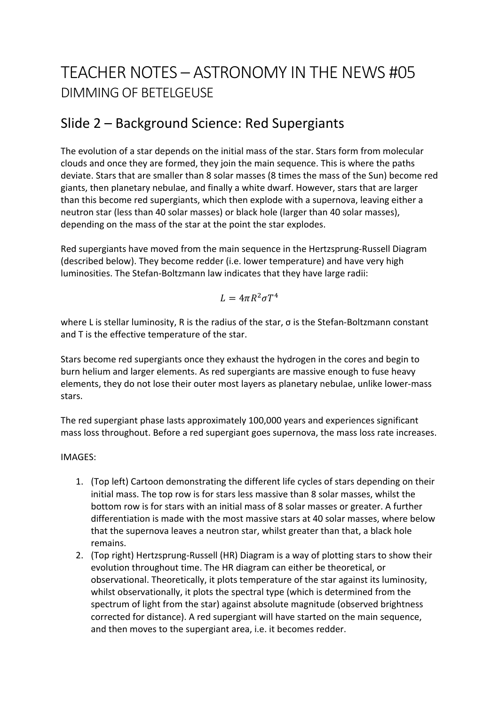## TEACHER NOTES – ASTRONOMY IN THE NEWS #05 DIMMING OF BETELGEUSE

### Slide 2 – Background Science: Red Supergiants

The evolution of a star depends on the initial mass of the star. Stars form from molecular clouds and once they are formed, they join the main sequence. This is where the paths deviate. Stars that are smaller than 8 solar masses (8 times the mass of the Sun) become red giants, then planetary nebulae, and finally a white dwarf. However, stars that are larger than this become red supergiants, which then explode with a supernova, leaving either a neutron star (less than 40 solar masses) or black hole (larger than 40 solar masses), depending on the mass of the star at the point the star explodes.

Red supergiants have moved from the main sequence in the Hertzsprung-Russell Diagram (described below). They become redder (i.e. lower temperature) and have very high luminosities. The Stefan-Boltzmann law indicates that they have large radii:

$$
L=4\pi R^2\sigma T^4
$$

where L is stellar luminosity, R is the radius of the star, σ is the Stefan-Boltzmann constant and T is the effective temperature of the star.

Stars become red supergiants once they exhaust the hydrogen in the cores and begin to burn helium and larger elements. As red supergiants are massive enough to fuse heavy elements, they do not lose their outer most layers as planetary nebulae, unlike lower-mass stars.

The red supergiant phase lasts approximately 100,000 years and experiences significant mass loss throughout. Before a red supergiant goes supernova, the mass loss rate increases.

#### IMAGES:

- 1. (Top left) Cartoon demonstrating the different life cycles of stars depending on their initial mass. The top row is for stars less massive than 8 solar masses, whilst the bottom row is for stars with an initial mass of 8 solar masses or greater. A further differentiation is made with the most massive stars at 40 solar masses, where below that the supernova leaves a neutron star, whilst greater than that, a black hole remains.
- 2. (Top right) Hertzsprung-Russell (HR) Diagram is a way of plotting stars to show their evolution throughout time. The HR diagram can either be theoretical, or observational. Theoretically, it plots temperature of the star against its luminosity, whilst observationally, it plots the spectral type (which is determined from the spectrum of light from the star) against absolute magnitude (observed brightness corrected for distance). A red supergiant will have started on the main sequence, and then moves to the supergiant area, i.e. it becomes redder.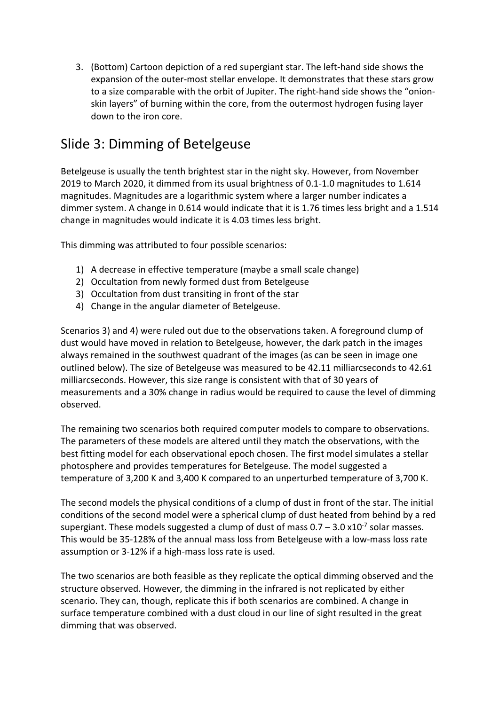3. (Bottom) Cartoon depiction of a red supergiant star. The left-hand side shows the expansion of the outer-most stellar envelope. It demonstrates that these stars grow to a size comparable with the orbit of Jupiter. The right-hand side shows the "onionskin layers" of burning within the core, from the outermost hydrogen fusing layer down to the iron core.

## Slide 3: Dimming of Betelgeuse

Betelgeuse is usually the tenth brightest star in the night sky. However, from November 2019 to March 2020, it dimmed from its usual brightness of 0.1-1.0 magnitudes to 1.614 magnitudes. Magnitudes are a logarithmic system where a larger number indicates a dimmer system. A change in 0.614 would indicate that it is 1.76 times less bright and a 1.514 change in magnitudes would indicate it is 4.03 times less bright.

This dimming was attributed to four possible scenarios:

- 1) A decrease in effective temperature (maybe a small scale change)
- 2) Occultation from newly formed dust from Betelgeuse
- 3) Occultation from dust transiting in front of the star
- 4) Change in the angular diameter of Betelgeuse.

Scenarios 3) and 4) were ruled out due to the observations taken. A foreground clump of dust would have moved in relation to Betelgeuse, however, the dark patch in the images always remained in the southwest quadrant of the images (as can be seen in image one outlined below). The size of Betelgeuse was measured to be 42.11 milliarcseconds to 42.61 milliarcseconds. However, this size range is consistent with that of 30 years of measurements and a 30% change in radius would be required to cause the level of dimming observed.

The remaining two scenarios both required computer models to compare to observations. The parameters of these models are altered until they match the observations, with the best fitting model for each observational epoch chosen. The first model simulates a stellar photosphere and provides temperatures for Betelgeuse. The model suggested a temperature of 3,200 K and 3,400 K compared to an unperturbed temperature of 3,700 K.

The second models the physical conditions of a clump of dust in front of the star. The initial conditions of the second model were a spherical clump of dust heated from behind by a red supergiant. These models suggested a clump of dust of mass  $0.7 - 3.0 \times 10^{-7}$  solar masses. This would be 35-128% of the annual mass loss from Betelgeuse with a low-mass loss rate assumption or 3-12% if a high-mass loss rate is used.

The two scenarios are both feasible as they replicate the optical dimming observed and the structure observed. However, the dimming in the infrared is not replicated by either scenario. They can, though, replicate this if both scenarios are combined. A change in surface temperature combined with a dust cloud in our line of sight resulted in the great dimming that was observed.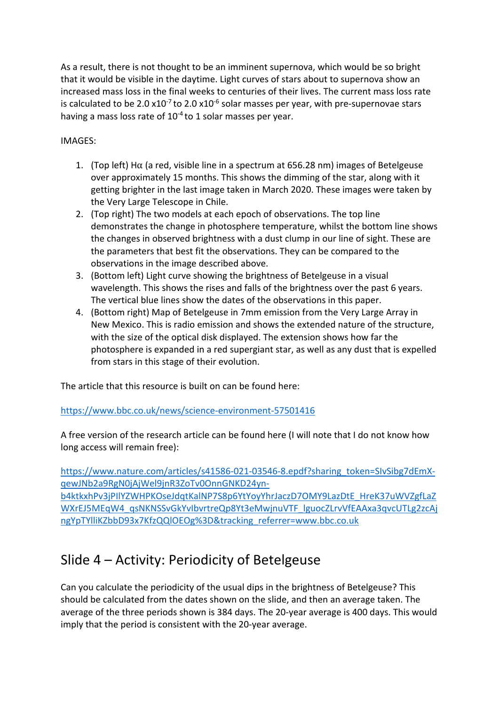As a result, there is not thought to be an imminent supernova, which would be so bright that it would be visible in the daytime. Light curves of stars about to supernova show an increased mass loss in the final weeks to centuries of their lives. The current mass loss rate is calculated to be 2.0  $x10^{-7}$  to 2.0  $x10^{-6}$  solar masses per year, with pre-supernovae stars having a mass loss rate of  $10^{-4}$  to 1 solar masses per year.

#### IMAGES:

- 1. (Top left) H $\alpha$  (a red, visible line in a spectrum at 656.28 nm) images of Betelgeuse over approximately 15 months. This shows the dimming of the star, along with it getting brighter in the last image taken in March 2020. These images were taken by the Very Large Telescope in Chile.
- 2. (Top right) The two models at each epoch of observations. The top line demonstrates the change in photosphere temperature, whilst the bottom line shows the changes in observed brightness with a dust clump in our line of sight. These are the parameters that best fit the observations. They can be compared to the observations in the image described above.
- 3. (Bottom left) Light curve showing the brightness of Betelgeuse in a visual wavelength. This shows the rises and falls of the brightness over the past 6 years. The vertical blue lines show the dates of the observations in this paper.
- 4. (Bottom right) Map of Betelgeuse in 7mm emission from the Very Large Array in New Mexico. This is radio emission and shows the extended nature of the structure, with the size of the optical disk displayed. The extension shows how far the photosphere is expanded in a red supergiant star, as well as any dust that is expelled from stars in this stage of their evolution.

The article that this resource is built on can be found here:

https://www.bbc.co.uk/news/science-environment-57501416

A free version of the research article can be found here (I will note that I do not know how long access will remain free):

https://www.nature.com/articles/s41586-021-03546-8.epdf?sharing\_token=SIvSibg7dEmXqewJNb2a9RgN0jAjWel9jnR3ZoTv0OnnGNKD24yn-

b4ktkxhPv3jPIlYZWHPKOseJdqtKalNP7S8p6YtYoyYhrJaczD7OMY9LazDtE\_HreK37uWVZgfLaZ WXrEJ5MEqW4\_qsNKNSSvGkYvIbvrtreQp8Yt3eMwjnuVTF\_lguocZLrvVfEAAxa3qvcUTLg2zcAj ngYpTYlliKZbbD93x7KfzQQlOEOg%3D&tracking\_referrer=www.bbc.co.uk

### Slide 4 – Activity: Periodicity of Betelgeuse

Can you calculate the periodicity of the usual dips in the brightness of Betelgeuse? This should be calculated from the dates shown on the slide, and then an average taken. The average of the three periods shown is 384 days. The 20-year average is 400 days. This would imply that the period is consistent with the 20-year average.